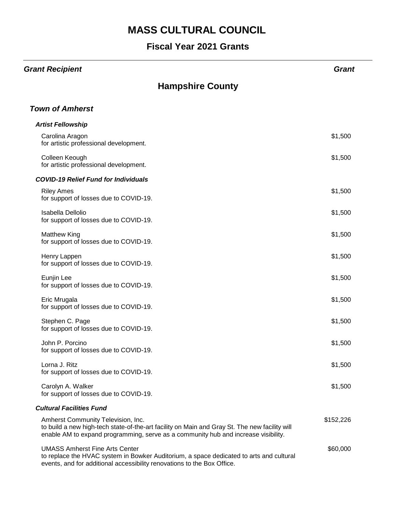#### **Fiscal Year 2021 Grants**

#### *Grant Recipient Grant*

| <b>Hampshire County</b>                                                                                                                                                                                                   |           |
|---------------------------------------------------------------------------------------------------------------------------------------------------------------------------------------------------------------------------|-----------|
| <b>Town of Amherst</b>                                                                                                                                                                                                    |           |
| <b>Artist Fellowship</b>                                                                                                                                                                                                  |           |
| Carolina Aragon<br>for artistic professional development.                                                                                                                                                                 | \$1,500   |
| Colleen Keough<br>for artistic professional development.                                                                                                                                                                  | \$1,500   |
| <b>COVID-19 Relief Fund for Individuals</b>                                                                                                                                                                               |           |
| <b>Riley Ames</b><br>for support of losses due to COVID-19.                                                                                                                                                               | \$1,500   |
| Isabella Dellolio<br>for support of losses due to COVID-19.                                                                                                                                                               | \$1,500   |
| <b>Matthew King</b><br>for support of losses due to COVID-19.                                                                                                                                                             | \$1,500   |
| Henry Lappen<br>for support of losses due to COVID-19.                                                                                                                                                                    | \$1,500   |
| Eunjin Lee<br>for support of losses due to COVID-19.                                                                                                                                                                      | \$1,500   |
| Eric Mrugala<br>for support of losses due to COVID-19.                                                                                                                                                                    | \$1,500   |
| Stephen C. Page<br>for support of losses due to COVID-19.                                                                                                                                                                 | \$1,500   |
| John P. Porcino<br>for support of losses due to COVID-19.                                                                                                                                                                 | \$1,500   |
| Lorna J. Ritz<br>for support of losses due to COVID-19.                                                                                                                                                                   | \$1,500   |
| Carolyn A. Walker<br>for support of losses due to COVID-19.                                                                                                                                                               | \$1,500   |
| <b>Cultural Facilities Fund</b>                                                                                                                                                                                           |           |
| Amherst Community Television, Inc.<br>to build a new high-tech state-of-the-art facility on Main and Gray St. The new facility will<br>enable AM to expand programming, serve as a community hub and increase visibility. | \$152,226 |
| <b>UMASS Amherst Fine Arts Center</b><br>to replace the HVAC system in Bowker Auditorium, a space dedicated to arts and cultural<br>events, and for additional accessibility renovations to the Box Office.               | \$60,000  |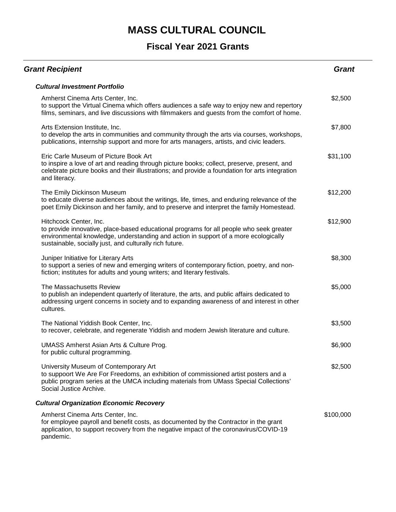| <b>Grant Recipient</b>                                                                                                                                                                                                                                              | <b>Grant</b> |
|---------------------------------------------------------------------------------------------------------------------------------------------------------------------------------------------------------------------------------------------------------------------|--------------|
| <b>Cultural Investment Portfolio</b>                                                                                                                                                                                                                                |              |
| Amherst Cinema Arts Center, Inc.<br>to support the Virtual Cinema which offers audiences a safe way to enjoy new and repertory<br>films, seminars, and live discussions with filmmakers and guests from the comfort of home.                                        | \$2,500      |
| Arts Extension Institute, Inc.<br>to develop the arts in communities and community through the arts via courses, workshops,<br>publications, internship support and more for arts managers, artists, and civic leaders.                                             | \$7,800      |
| Eric Carle Museum of Picture Book Art<br>to inspire a love of art and reading through picture books; collect, preserve, present, and<br>celebrate picture books and their illustrations; and provide a foundation for arts integration<br>and literacy.             | \$31,100     |
| The Emily Dickinson Museum<br>to educate diverse audiences about the writings, life, times, and enduring relevance of the<br>poet Emily Dickinson and her family, and to preserve and interpret the family Homestead.                                               | \$12,200     |
| Hitchcock Center, Inc.<br>to provide innovative, place-based educational programs for all people who seek greater<br>environmental knowledge, understanding and action in support of a more ecologically<br>sustainable, socially just, and culturally rich future. | \$12,900     |
| Juniper Initiative for Literary Arts<br>to support a series of new and emerging writers of contemporary fiction, poetry, and non-<br>fiction; institutes for adults and young writers; and literary festivals.                                                      | \$8,300      |
| The Massachusetts Review<br>to publish an independent quarterly of literature, the arts, and public affairs dedicated to<br>addressing urgent concerns in society and to expanding awareness of and interest in other<br>cultures.                                  | \$5,000      |
| The National Yiddish Book Center, Inc.<br>to recover, celebrate, and regenerate Yiddish and modern Jewish literature and culture.                                                                                                                                   | \$3,500      |
| <b>UMASS Amherst Asian Arts &amp; Culture Prog.</b><br>for public cultural programming.                                                                                                                                                                             | \$6,900      |
| University Museum of Contemporary Art<br>to suppoort We Are For Freedoms, an exhibition of commissioned artist posters and a<br>public program series at the UMCA including materials from UMass Special Collections'<br>Social Justice Archive.                    | \$2,500      |
| <b>Cultural Organization Economic Recovery</b>                                                                                                                                                                                                                      |              |
| Amherst Cinema Arts Center, Inc.<br>for employee payroll and benefit costs, as documented by the Contractor in the grant<br>application, to support recovery from the negative impact of the coronavirus/COVID-19<br>pandemic.                                      | \$100,000    |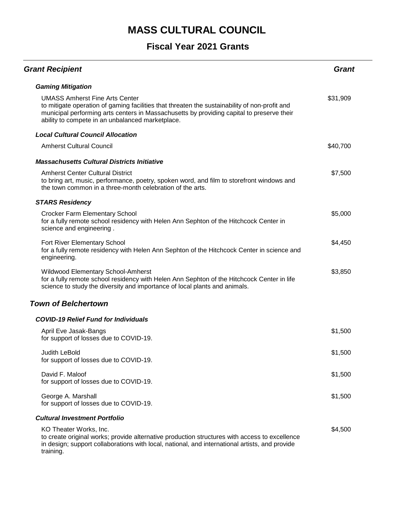| <b>Grant Recipient</b>                                                                                                                                                                                                                                                                  | <b>Grant</b> |
|-----------------------------------------------------------------------------------------------------------------------------------------------------------------------------------------------------------------------------------------------------------------------------------------|--------------|
| <b>Gaming Mitigation</b>                                                                                                                                                                                                                                                                |              |
| <b>UMASS Amherst Fine Arts Center</b><br>to mitigate operation of gaming facilities that threaten the sustainability of non-profit and<br>municipal performing arts centers in Massachusetts by providing capital to preserve their<br>ability to compete in an unbalanced marketplace. | \$31,909     |
| <b>Local Cultural Council Allocation</b>                                                                                                                                                                                                                                                |              |
| <b>Amherst Cultural Council</b>                                                                                                                                                                                                                                                         | \$40,700     |
| <b>Massachusetts Cultural Districts Initiative</b>                                                                                                                                                                                                                                      |              |
| <b>Amherst Center Cultural District</b><br>to bring art, music, performance, poetry, spoken word, and film to storefront windows and<br>the town common in a three-month celebration of the arts.                                                                                       | \$7,500      |
| <b>STARS Residency</b>                                                                                                                                                                                                                                                                  |              |
| <b>Crocker Farm Elementary School</b><br>for a fully remote school residency with Helen Ann Sephton of the Hitchcock Center in<br>science and engineering.                                                                                                                              | \$5,000      |
| Fort River Elementary School<br>for a fully remote residency with Helen Ann Sephton of the Hitchcock Center in science and<br>engineering.                                                                                                                                              | \$4,450      |
| Wildwood Elementary School-Amherst<br>for a fully remote school residency with Helen Ann Sephton of the Hitchcock Center in life<br>science to study the diversity and importance of local plants and animals.                                                                          | \$3,850      |
| <b>Town of Belchertown</b>                                                                                                                                                                                                                                                              |              |
| <b>COVID-19 Relief Fund for Individuals</b>                                                                                                                                                                                                                                             |              |
| April Eve Jasak-Bangs<br>for support of losses due to COVID-19.                                                                                                                                                                                                                         | \$1,500      |
| Judith LeBold<br>for support of losses due to COVID-19.                                                                                                                                                                                                                                 | \$1,500      |
| David F. Maloof<br>for support of losses due to COVID-19.                                                                                                                                                                                                                               | \$1,500      |
| George A. Marshall<br>for support of losses due to COVID-19.                                                                                                                                                                                                                            | \$1,500      |
| <b>Cultural Investment Portfolio</b>                                                                                                                                                                                                                                                    |              |
| KO Theater Works, Inc.<br>to create original works; provide alternative production structures with access to excellence<br>in design; support collaborations with local, national, and international artists, and provide<br>training.                                                  | \$4,500      |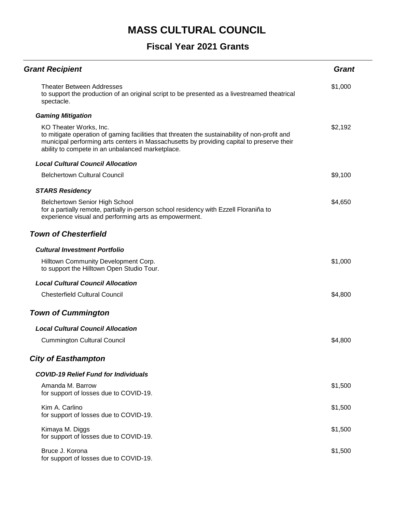| <b>Grant Recipient</b>                                                                                                                                                                                                                                                   | <b>Grant</b> |
|--------------------------------------------------------------------------------------------------------------------------------------------------------------------------------------------------------------------------------------------------------------------------|--------------|
| <b>Theater Between Addresses</b><br>to support the production of an original script to be presented as a livestreamed theatrical<br>spectacle.                                                                                                                           | \$1,000      |
| <b>Gaming Mitigation</b>                                                                                                                                                                                                                                                 |              |
| KO Theater Works, Inc.<br>to mitigate operation of gaming facilities that threaten the sustainability of non-profit and<br>municipal performing arts centers in Massachusetts by providing capital to preserve their<br>ability to compete in an unbalanced marketplace. | \$2,192      |
| <b>Local Cultural Council Allocation</b>                                                                                                                                                                                                                                 |              |
| <b>Belchertown Cultural Council</b>                                                                                                                                                                                                                                      | \$9,100      |
| <b>STARS Residency</b>                                                                                                                                                                                                                                                   |              |
| <b>Belchertown Senior High School</b><br>for a partially remote, partially in-person school residency with Ezzell Floraniña to<br>experience visual and performing arts as empowerment.                                                                                  | \$4,650      |
| <b>Town of Chesterfield</b>                                                                                                                                                                                                                                              |              |
| <b>Cultural Investment Portfolio</b>                                                                                                                                                                                                                                     |              |
| Hilltown Community Development Corp.<br>to support the Hilltown Open Studio Tour.                                                                                                                                                                                        | \$1,000      |
| <b>Local Cultural Council Allocation</b>                                                                                                                                                                                                                                 |              |
| <b>Chesterfield Cultural Council</b>                                                                                                                                                                                                                                     | \$4,800      |
| <b>Town of Cummington</b>                                                                                                                                                                                                                                                |              |
| <b>Local Cultural Council Allocation</b>                                                                                                                                                                                                                                 |              |
| <b>Cummington Cultural Council</b>                                                                                                                                                                                                                                       | \$4,800      |
| <b>City of Easthampton</b>                                                                                                                                                                                                                                               |              |
| <b>COVID-19 Relief Fund for Individuals</b>                                                                                                                                                                                                                              |              |
| Amanda M. Barrow<br>for support of losses due to COVID-19.                                                                                                                                                                                                               | \$1,500      |
| Kim A. Carlino<br>for support of losses due to COVID-19.                                                                                                                                                                                                                 | \$1,500      |
| Kimaya M. Diggs<br>for support of losses due to COVID-19.                                                                                                                                                                                                                | \$1,500      |
| Bruce J. Korona<br>for support of losses due to COVID-19.                                                                                                                                                                                                                | \$1,500      |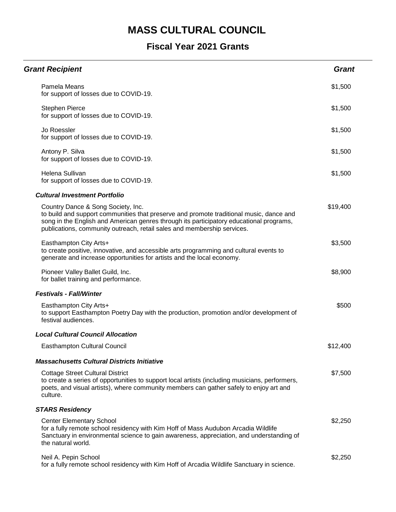| <b>Grant Recipient</b>                                                                                                                                                                                                                                                                              | <b>Grant</b> |
|-----------------------------------------------------------------------------------------------------------------------------------------------------------------------------------------------------------------------------------------------------------------------------------------------------|--------------|
| Pamela Means<br>for support of losses due to COVID-19.                                                                                                                                                                                                                                              | \$1,500      |
| <b>Stephen Pierce</b><br>for support of losses due to COVID-19.                                                                                                                                                                                                                                     | \$1,500      |
| Jo Roessler<br>for support of losses due to COVID-19.                                                                                                                                                                                                                                               | \$1,500      |
| Antony P. Silva<br>for support of losses due to COVID-19.                                                                                                                                                                                                                                           | \$1,500      |
| Helena Sullivan<br>for support of losses due to COVID-19.                                                                                                                                                                                                                                           | \$1,500      |
| <b>Cultural Investment Portfolio</b>                                                                                                                                                                                                                                                                |              |
| Country Dance & Song Society, Inc.<br>to build and support communities that preserve and promote traditional music, dance and<br>song in the English and American genres through its participatory educational programs,<br>publications, community outreach, retail sales and membership services. | \$19,400     |
| Easthampton City Arts+<br>to create positive, innovative, and accessible arts programming and cultural events to<br>generate and increase opportunities for artists and the local economy.                                                                                                          | \$3,500      |
| Pioneer Valley Ballet Guild, Inc.<br>for ballet training and performance.                                                                                                                                                                                                                           | \$8,900      |
| <b>Festivals - Fall/Winter</b>                                                                                                                                                                                                                                                                      |              |
| Easthampton City Arts+<br>to support Easthampton Poetry Day with the production, promotion and/or development of<br>festival audiences.                                                                                                                                                             | \$500        |
| <b>Local Cultural Council Allocation</b>                                                                                                                                                                                                                                                            |              |
| <b>Easthampton Cultural Council</b>                                                                                                                                                                                                                                                                 | \$12,400     |
| <b>Massachusetts Cultural Districts Initiative</b>                                                                                                                                                                                                                                                  |              |
| <b>Cottage Street Cultural District</b><br>to create a series of opportunities to support local artists (including musicians, performers,<br>poets, and visual artists), where community members can gather safely to enjoy art and<br>culture.                                                     | \$7,500      |
| <b>STARS Residency</b>                                                                                                                                                                                                                                                                              |              |
| <b>Center Elementary School</b><br>for a fully remote school residency with Kim Hoff of Mass Audubon Arcadia Wildlife<br>Sanctuary in environmental science to gain awareness, appreciation, and understanding of<br>the natural world.                                                             | \$2,250      |
| Neil A. Pepin School<br>for a fully remote school residency with Kim Hoff of Arcadia Wildlife Sanctuary in science.                                                                                                                                                                                 | \$2,250      |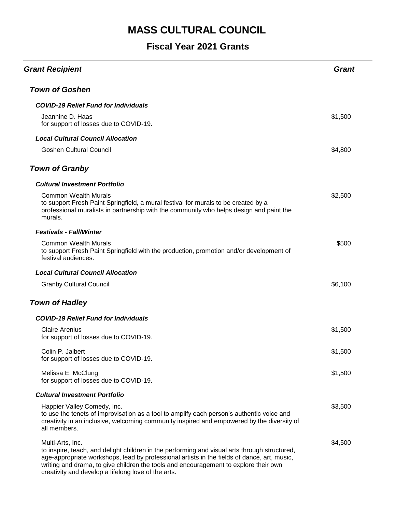| <b>Grant Recipient</b>                                                                                                                                                                                                                                                                                                                                          | Grant   |
|-----------------------------------------------------------------------------------------------------------------------------------------------------------------------------------------------------------------------------------------------------------------------------------------------------------------------------------------------------------------|---------|
| <b>Town of Goshen</b>                                                                                                                                                                                                                                                                                                                                           |         |
| <b>COVID-19 Relief Fund for Individuals</b>                                                                                                                                                                                                                                                                                                                     |         |
| Jeannine D. Haas<br>for support of losses due to COVID-19.                                                                                                                                                                                                                                                                                                      | \$1,500 |
| <b>Local Cultural Council Allocation</b>                                                                                                                                                                                                                                                                                                                        |         |
| <b>Goshen Cultural Council</b>                                                                                                                                                                                                                                                                                                                                  | \$4,800 |
| <b>Town of Granby</b>                                                                                                                                                                                                                                                                                                                                           |         |
| <b>Cultural Investment Portfolio</b>                                                                                                                                                                                                                                                                                                                            |         |
| <b>Common Wealth Murals</b><br>to support Fresh Paint Springfield, a mural festival for murals to be created by a<br>professional muralists in partnership with the community who helps design and paint the<br>murals.                                                                                                                                         | \$2,500 |
| <b>Festivals - Fall/Winter</b>                                                                                                                                                                                                                                                                                                                                  |         |
| <b>Common Wealth Murals</b><br>to support Fresh Paint Springfield with the production, promotion and/or development of<br>festival audiences.                                                                                                                                                                                                                   | \$500   |
| <b>Local Cultural Council Allocation</b>                                                                                                                                                                                                                                                                                                                        |         |
| <b>Granby Cultural Council</b>                                                                                                                                                                                                                                                                                                                                  | \$6,100 |
| <b>Town of Hadley</b>                                                                                                                                                                                                                                                                                                                                           |         |
| <b>COVID-19 Relief Fund for Individuals</b>                                                                                                                                                                                                                                                                                                                     |         |
| <b>Claire Arenius</b><br>for support of losses due to COVID-19.                                                                                                                                                                                                                                                                                                 | \$1,500 |
| Colin P. Jalbert<br>for support of losses due to COVID-19.                                                                                                                                                                                                                                                                                                      | \$1,500 |
| Melissa E. McClung<br>for support of losses due to COVID-19.                                                                                                                                                                                                                                                                                                    | \$1,500 |
| <b>Cultural Investment Portfolio</b>                                                                                                                                                                                                                                                                                                                            |         |
| Happier Valley Comedy, Inc.<br>to use the tenets of improvisation as a tool to amplify each person's authentic voice and<br>creativity in an inclusive, welcoming community inspired and empowered by the diversity of<br>all members.                                                                                                                          | \$3,500 |
| Multi-Arts, Inc.<br>to inspire, teach, and delight children in the performing and visual arts through structured,<br>age-appropriate workshops, lead by professional artists in the fields of dance, art, music,<br>writing and drama, to give children the tools and encouragement to explore their own<br>creativity and develop a lifelong love of the arts. | \$4,500 |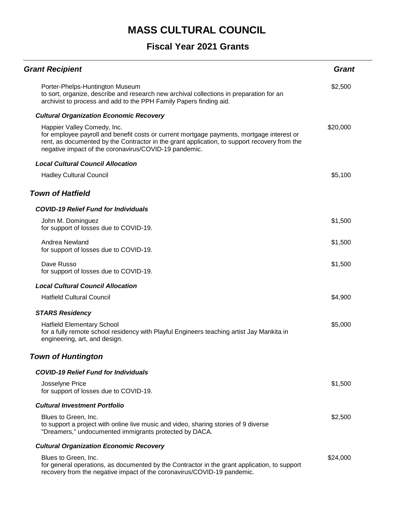| <b>Grant Recipient</b>                                                                                                                                                                                                                                                            | <b>Grant</b> |
|-----------------------------------------------------------------------------------------------------------------------------------------------------------------------------------------------------------------------------------------------------------------------------------|--------------|
| Porter-Phelps-Huntington Museum<br>to sort, organize, describe and research new archival collections in preparation for an<br>archivist to process and add to the PPH Family Papers finding aid.                                                                                  | \$2,500      |
| <b>Cultural Organization Economic Recovery</b>                                                                                                                                                                                                                                    |              |
| Happier Valley Comedy, Inc.<br>for employee payroll and benefit costs or current mortgage payments, mortgage interest or<br>rent, as documented by the Contractor in the grant application, to support recovery from the<br>negative impact of the coronavirus/COVID-19 pandemic. | \$20,000     |
| <b>Local Cultural Council Allocation</b>                                                                                                                                                                                                                                          |              |
| <b>Hadley Cultural Council</b>                                                                                                                                                                                                                                                    | \$5,100      |
| <b>Town of Hatfield</b>                                                                                                                                                                                                                                                           |              |
| <b>COVID-19 Relief Fund for Individuals</b>                                                                                                                                                                                                                                       |              |
| John M. Dominguez<br>for support of losses due to COVID-19.                                                                                                                                                                                                                       | \$1,500      |
| Andrea Newland<br>for support of losses due to COVID-19.                                                                                                                                                                                                                          | \$1,500      |
| Dave Russo<br>for support of losses due to COVID-19.                                                                                                                                                                                                                              | \$1,500      |
| <b>Local Cultural Council Allocation</b>                                                                                                                                                                                                                                          |              |
| <b>Hatfield Cultural Council</b>                                                                                                                                                                                                                                                  | \$4,900      |
| <b>STARS Residency</b>                                                                                                                                                                                                                                                            |              |
| <b>Hatfield Elementary School</b><br>for a fully remote school residency with Playful Engineers teaching artist Jay Mankita in<br>engineering, art, and design.                                                                                                                   | \$5,000      |
| <b>Town of Huntington</b>                                                                                                                                                                                                                                                         |              |
| <b>COVID-19 Relief Fund for Individuals</b>                                                                                                                                                                                                                                       |              |
| Josselyne Price<br>for support of losses due to COVID-19.                                                                                                                                                                                                                         | \$1,500      |
| <b>Cultural Investment Portfolio</b>                                                                                                                                                                                                                                              |              |
| Blues to Green, Inc.<br>to support a project with online live music and video, sharing stories of 9 diverse<br>"Dreamers," undocumented immigrants protected by DACA.                                                                                                             | \$2,500      |
| <b>Cultural Organization Economic Recovery</b>                                                                                                                                                                                                                                    |              |
| Blues to Green, Inc.<br>for general operations, as documented by the Contractor in the grant application, to support<br>recovery from the negative impact of the coronavirus/COVID-19 pandemic.                                                                                   | \$24,000     |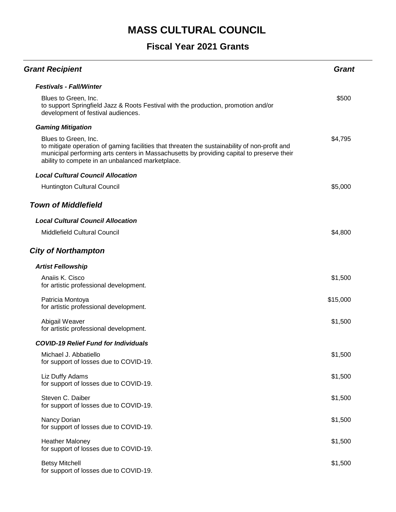| <b>Grant Recipient</b>                                                                                                                                                                                                                                                 | <b>Grant</b> |
|------------------------------------------------------------------------------------------------------------------------------------------------------------------------------------------------------------------------------------------------------------------------|--------------|
| <b>Festivals - Fall/Winter</b>                                                                                                                                                                                                                                         |              |
| Blues to Green, Inc.<br>to support Springfield Jazz & Roots Festival with the production, promotion and/or<br>development of festival audiences.                                                                                                                       | \$500        |
| <b>Gaming Mitigation</b>                                                                                                                                                                                                                                               |              |
| Blues to Green, Inc.<br>to mitigate operation of gaming facilities that threaten the sustainability of non-profit and<br>municipal performing arts centers in Massachusetts by providing capital to preserve their<br>ability to compete in an unbalanced marketplace. | \$4,795      |
| <b>Local Cultural Council Allocation</b>                                                                                                                                                                                                                               |              |
| Huntington Cultural Council                                                                                                                                                                                                                                            | \$5,000      |
| <b>Town of Middlefield</b>                                                                                                                                                                                                                                             |              |
| <b>Local Cultural Council Allocation</b>                                                                                                                                                                                                                               |              |
| <b>Middlefield Cultural Council</b>                                                                                                                                                                                                                                    | \$4,800      |
| <b>City of Northampton</b>                                                                                                                                                                                                                                             |              |
| <b>Artist Fellowship</b>                                                                                                                                                                                                                                               |              |
| Anaiis K. Cisco<br>for artistic professional development.                                                                                                                                                                                                              | \$1,500      |
| Patricia Montoya<br>for artistic professional development.                                                                                                                                                                                                             | \$15,000     |
| Abigail Weaver<br>for artistic professional development.                                                                                                                                                                                                               | \$1,500      |
| <b>COVID-19 Relief Fund for Individuals</b>                                                                                                                                                                                                                            |              |
| Michael J. Abbatiello<br>for support of losses due to COVID-19.                                                                                                                                                                                                        | \$1,500      |
| Liz Duffy Adams<br>for support of losses due to COVID-19.                                                                                                                                                                                                              | \$1,500      |
| Steven C. Daiber<br>for support of losses due to COVID-19.                                                                                                                                                                                                             | \$1,500      |
| Nancy Dorian<br>for support of losses due to COVID-19.                                                                                                                                                                                                                 | \$1,500      |
| <b>Heather Maloney</b><br>for support of losses due to COVID-19.                                                                                                                                                                                                       | \$1,500      |
| <b>Betsy Mitchell</b><br>for support of losses due to COVID-19.                                                                                                                                                                                                        | \$1,500      |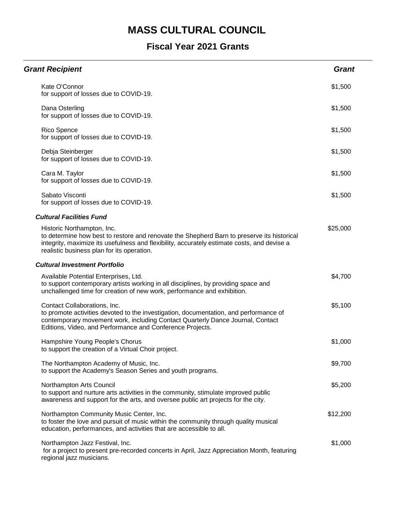| <b>Grant Recipient</b>                                                                                                                                                                                                                                                | <b>Grant</b> |
|-----------------------------------------------------------------------------------------------------------------------------------------------------------------------------------------------------------------------------------------------------------------------|--------------|
| Kate O'Connor<br>for support of losses due to COVID-19.                                                                                                                                                                                                               | \$1,500      |
| Dana Osterling<br>for support of losses due to COVID-19.                                                                                                                                                                                                              | \$1,500      |
| Rico Spence<br>for support of losses due to COVID-19.                                                                                                                                                                                                                 | \$1,500      |
| Debja Steinberger<br>for support of losses due to COVID-19.                                                                                                                                                                                                           | \$1,500      |
| Cara M. Taylor<br>for support of losses due to COVID-19.                                                                                                                                                                                                              | \$1,500      |
| Sabato Visconti<br>for support of losses due to COVID-19.                                                                                                                                                                                                             | \$1,500      |
| <b>Cultural Facilities Fund</b>                                                                                                                                                                                                                                       |              |
| Historic Northampton, Inc.<br>to determine how best to restore and renovate the Shepherd Barn to preserve its historical<br>integrity, maximize its usefulness and flexibility, accurately estimate costs, and devise a<br>realistic business plan for its operation. | \$25,000     |
| <b>Cultural Investment Portfolio</b>                                                                                                                                                                                                                                  |              |
| Available Potential Enterprises, Ltd.<br>to support contemporary artists working in all disciplines, by providing space and<br>unchallenged time for creation of new work, performance and exhibition.                                                                | \$4,700      |
| Contact Collaborations, Inc.<br>to promote activities devoted to the investigation, documentation, and performance of<br>contemporary movement work, including Contact Quarterly Dance Journal, Contact<br>Editions, Video, and Performance and Conference Projects.  | \$5,100      |
| Hampshire Young People's Chorus<br>to support the creation of a Virtual Choir project.                                                                                                                                                                                | \$1,000      |
| The Northampton Academy of Music, Inc.<br>to support the Academy's Season Series and youth programs.                                                                                                                                                                  | \$9,700      |
| Northampton Arts Council<br>to support and nurture arts activities in the community, stimulate improved public<br>awareness and support for the arts, and oversee public art projects for the city.                                                                   | \$5,200      |
| Northampton Community Music Center, Inc.<br>to foster the love and pursuit of music within the community through quality musical<br>education, performances, and activities that are accessible to all.                                                               | \$12,200     |
| Northampton Jazz Festival, Inc.<br>for a project to present pre-recorded concerts in April, Jazz Appreciation Month, featuring<br>regional jazz musicians.                                                                                                            | \$1,000      |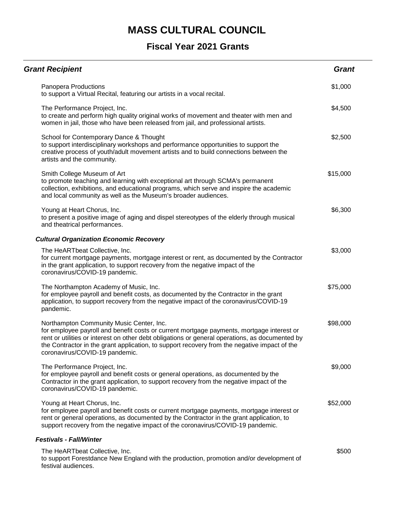| <b>Grant Recipient</b>                                                                                                                                                                                                                                                                                                                                                     | <b>Grant</b> |
|----------------------------------------------------------------------------------------------------------------------------------------------------------------------------------------------------------------------------------------------------------------------------------------------------------------------------------------------------------------------------|--------------|
| Panopera Productions<br>to support a Virtual Recital, featuring our artists in a vocal recital.                                                                                                                                                                                                                                                                            | \$1,000      |
| The Performance Project, Inc.<br>to create and perform high quality original works of movement and theater with men and<br>women in jail, those who have been released from jail, and professional artists.                                                                                                                                                                | \$4,500      |
| School for Contemporary Dance & Thought<br>to support interdisciplinary workshops and performance opportunities to support the<br>creative process of youth/adult movement artists and to build connections between the<br>artists and the community.                                                                                                                      | \$2,500      |
| Smith College Museum of Art<br>to promote teaching and learning with exceptional art through SCMA's permanent<br>collection, exhibitions, and educational programs, which serve and inspire the academic<br>and local community as well as the Museum's broader audiences.                                                                                                 | \$15,000     |
| Young at Heart Chorus, Inc.<br>to present a positive image of aging and dispel stereotypes of the elderly through musical<br>and theatrical performances.                                                                                                                                                                                                                  | \$6,300      |
| <b>Cultural Organization Economic Recovery</b>                                                                                                                                                                                                                                                                                                                             |              |
| The HeARTbeat Collective, Inc.<br>for current mortgage payments, mortgage interest or rent, as documented by the Contractor<br>in the grant application, to support recovery from the negative impact of the<br>coronavirus/COVID-19 pandemic.                                                                                                                             | \$3,000      |
| The Northampton Academy of Music, Inc.<br>for employee payroll and benefit costs, as documented by the Contractor in the grant<br>application, to support recovery from the negative impact of the coronavirus/COVID-19<br>pandemic.                                                                                                                                       | \$75,000     |
| Northampton Community Music Center, Inc.<br>for employee payroll and benefit costs or current mortgage payments, mortgage interest or<br>rent or utilities or interest on other debt obligations or general operations, as documented by<br>the Contractor in the grant application, to support recovery from the negative impact of the<br>coronavirus/COVID-19 pandemic. | \$98,000     |
| The Performance Project, Inc.<br>for employee payroll and benefit costs or general operations, as documented by the<br>Contractor in the grant application, to support recovery from the negative impact of the<br>coronavirus/COVID-19 pandemic.                                                                                                                          | \$9,000      |
| Young at Heart Chorus, Inc.<br>for employee payroll and benefit costs or current mortgage payments, mortgage interest or<br>rent or general operations, as documented by the Contractor in the grant application, to<br>support recovery from the negative impact of the coronavirus/COVID-19 pandemic.                                                                    | \$52,000     |
| <b>Festivals - Fall/Winter</b>                                                                                                                                                                                                                                                                                                                                             |              |
| The HeARTbeat Collective, Inc.<br>to support Forestdance New England with the production, promotion and/or development of<br>festival audiences.                                                                                                                                                                                                                           | \$500        |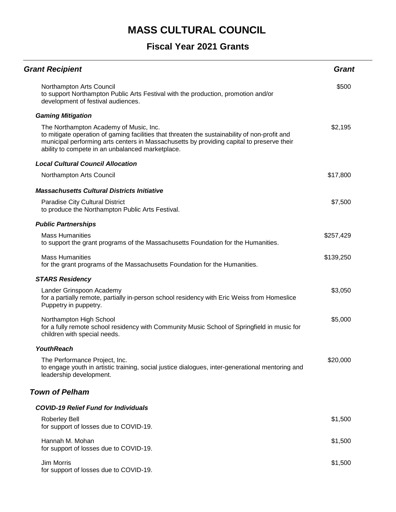| <b>Grant Recipient</b>                                                                                                                                                                                                                                                                   | <b>Grant</b> |
|------------------------------------------------------------------------------------------------------------------------------------------------------------------------------------------------------------------------------------------------------------------------------------------|--------------|
| Northampton Arts Council<br>to support Northampton Public Arts Festival with the production, promotion and/or<br>development of festival audiences.                                                                                                                                      | \$500        |
| <b>Gaming Mitigation</b>                                                                                                                                                                                                                                                                 |              |
| The Northampton Academy of Music, Inc.<br>to mitigate operation of gaming facilities that threaten the sustainability of non-profit and<br>municipal performing arts centers in Massachusetts by providing capital to preserve their<br>ability to compete in an unbalanced marketplace. | \$2,195      |
| <b>Local Cultural Council Allocation</b>                                                                                                                                                                                                                                                 |              |
| Northampton Arts Council                                                                                                                                                                                                                                                                 | \$17,800     |
| <b>Massachusetts Cultural Districts Initiative</b>                                                                                                                                                                                                                                       |              |
| Paradise City Cultural District<br>to produce the Northampton Public Arts Festival.                                                                                                                                                                                                      | \$7,500      |
| <b>Public Partnerships</b>                                                                                                                                                                                                                                                               |              |
| <b>Mass Humanities</b><br>to support the grant programs of the Massachusetts Foundation for the Humanities.                                                                                                                                                                              | \$257,429    |
| <b>Mass Humanities</b><br>for the grant programs of the Massachusetts Foundation for the Humanities.                                                                                                                                                                                     | \$139,250    |
| <b>STARS Residency</b>                                                                                                                                                                                                                                                                   |              |
| Lander Grinspoon Academy<br>for a partially remote, partially in-person school residency with Eric Weiss from Homeslice<br>Puppetry in puppetry.                                                                                                                                         | \$3,050      |
| Northampton High School<br>for a fully remote school residency with Community Music School of Springfield in music for<br>children with special needs.                                                                                                                                   | \$5,000      |
| <b>YouthReach</b>                                                                                                                                                                                                                                                                        |              |
| The Performance Project, Inc.<br>to engage youth in artistic training, social justice dialogues, inter-generational mentoring and<br>leadership development.                                                                                                                             | \$20,000     |
| <b>Town of Pelham</b>                                                                                                                                                                                                                                                                    |              |
| <b>COVID-19 Relief Fund for Individuals</b>                                                                                                                                                                                                                                              |              |
| <b>Roberley Bell</b><br>for support of losses due to COVID-19.                                                                                                                                                                                                                           | \$1,500      |
| Hannah M. Mohan<br>for support of losses due to COVID-19.                                                                                                                                                                                                                                | \$1,500      |
| Jim Morris<br>for support of losses due to COVID-19.                                                                                                                                                                                                                                     | \$1,500      |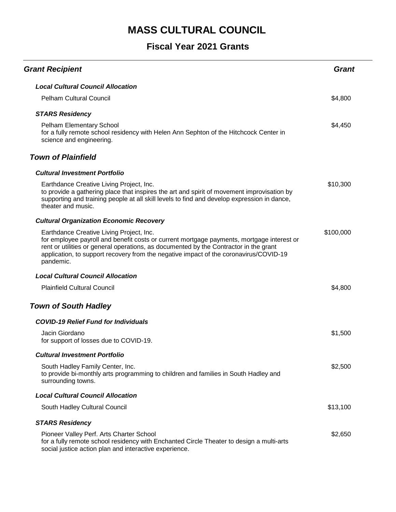| <b>Grant Recipient</b>                                                                                                                                                                                                                                                                                                               | <b>Grant</b> |
|--------------------------------------------------------------------------------------------------------------------------------------------------------------------------------------------------------------------------------------------------------------------------------------------------------------------------------------|--------------|
| <b>Local Cultural Council Allocation</b>                                                                                                                                                                                                                                                                                             |              |
| <b>Pelham Cultural Council</b>                                                                                                                                                                                                                                                                                                       | \$4,800      |
| <b>STARS Residency</b>                                                                                                                                                                                                                                                                                                               |              |
| Pelham Elementary School<br>for a fully remote school residency with Helen Ann Sephton of the Hitchcock Center in<br>science and engineering.                                                                                                                                                                                        | \$4,450      |
| <b>Town of Plainfield</b>                                                                                                                                                                                                                                                                                                            |              |
| <b>Cultural Investment Portfolio</b>                                                                                                                                                                                                                                                                                                 |              |
| Earthdance Creative Living Project, Inc.<br>to provide a gathering place that inspires the art and spirit of movement improvisation by<br>supporting and training people at all skill levels to find and develop expression in dance,<br>theater and music.                                                                          | \$10,300     |
| <b>Cultural Organization Economic Recovery</b>                                                                                                                                                                                                                                                                                       |              |
| Earthdance Creative Living Project, Inc.<br>for employee payroll and benefit costs or current mortgage payments, mortgage interest or<br>rent or utilities or general operations, as documented by the Contractor in the grant<br>application, to support recovery from the negative impact of the coronavirus/COVID-19<br>pandemic. | \$100,000    |
| <b>Local Cultural Council Allocation</b>                                                                                                                                                                                                                                                                                             |              |
| <b>Plainfield Cultural Council</b>                                                                                                                                                                                                                                                                                                   | \$4,800      |
| <b>Town of South Hadley</b>                                                                                                                                                                                                                                                                                                          |              |
| <b>COVID-19 Relief Fund for Individuals</b>                                                                                                                                                                                                                                                                                          |              |
| Jacin Giordano<br>for support of losses due to COVID-19.                                                                                                                                                                                                                                                                             | \$1,500      |
| <b>Cultural Investment Portfolio</b>                                                                                                                                                                                                                                                                                                 |              |
| South Hadley Family Center, Inc.<br>to provide bi-monthly arts programming to children and families in South Hadley and<br>surrounding towns.                                                                                                                                                                                        | \$2,500      |
| <b>Local Cultural Council Allocation</b>                                                                                                                                                                                                                                                                                             |              |
| South Hadley Cultural Council                                                                                                                                                                                                                                                                                                        | \$13,100     |
| <b>STARS Residency</b>                                                                                                                                                                                                                                                                                                               |              |
| Pioneer Valley Perf. Arts Charter School<br>for a fully remote school residency with Enchanted Circle Theater to design a multi-arts<br>social justice action plan and interactive experience.                                                                                                                                       | \$2,650      |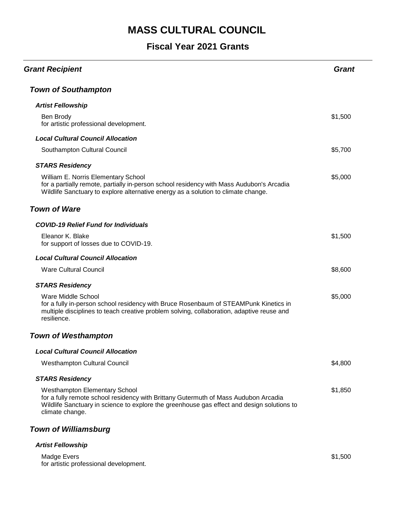## **Fiscal Year 2021 Grants**

| <b>Grant Recipient</b>                                                                                                                                                                                                                       | Grant   |
|----------------------------------------------------------------------------------------------------------------------------------------------------------------------------------------------------------------------------------------------|---------|
| <b>Town of Southampton</b>                                                                                                                                                                                                                   |         |
| <b>Artist Fellowship</b>                                                                                                                                                                                                                     |         |
| Ben Brody<br>for artistic professional development.                                                                                                                                                                                          | \$1,500 |
| <b>Local Cultural Council Allocation</b>                                                                                                                                                                                                     |         |
| Southampton Cultural Council                                                                                                                                                                                                                 | \$5,700 |
| <b>STARS Residency</b>                                                                                                                                                                                                                       |         |
| William E. Norris Elementary School<br>for a partially remote, partially in-person school residency with Mass Audubon's Arcadia<br>Wildlife Sanctuary to explore alternative energy as a solution to climate change.                         | \$5,000 |
| <b>Town of Ware</b>                                                                                                                                                                                                                          |         |
| <b>COVID-19 Relief Fund for Individuals</b>                                                                                                                                                                                                  |         |
| Eleanor K. Blake<br>for support of losses due to COVID-19.                                                                                                                                                                                   | \$1,500 |
| <b>Local Cultural Council Allocation</b>                                                                                                                                                                                                     |         |
| <b>Ware Cultural Council</b>                                                                                                                                                                                                                 | \$8,600 |
| <b>STARS Residency</b>                                                                                                                                                                                                                       |         |
| Ware Middle School<br>for a fully in-person school residency with Bruce Rosenbaum of STEAMPunk Kinetics in<br>multiple disciplines to teach creative problem solving, collaboration, adaptive reuse and<br>resilience.                       | \$5,000 |
| <b>Town of Westhampton</b>                                                                                                                                                                                                                   |         |
| <b>Local Cultural Council Allocation</b>                                                                                                                                                                                                     |         |
| <b>Westhampton Cultural Council</b>                                                                                                                                                                                                          | \$4,800 |
| <b>STARS Residency</b>                                                                                                                                                                                                                       |         |
| <b>Westhampton Elementary School</b><br>for a fully remote school residency with Brittany Gutermuth of Mass Audubon Arcadia<br>Wildlife Sanctuary in science to explore the greenhouse gas effect and design solutions to<br>climate change. | \$1,850 |
| <b>Town of Williamsburg</b>                                                                                                                                                                                                                  |         |
| <b>Artist Fellowship</b>                                                                                                                                                                                                                     |         |

Madge Evers for artistic professional development.